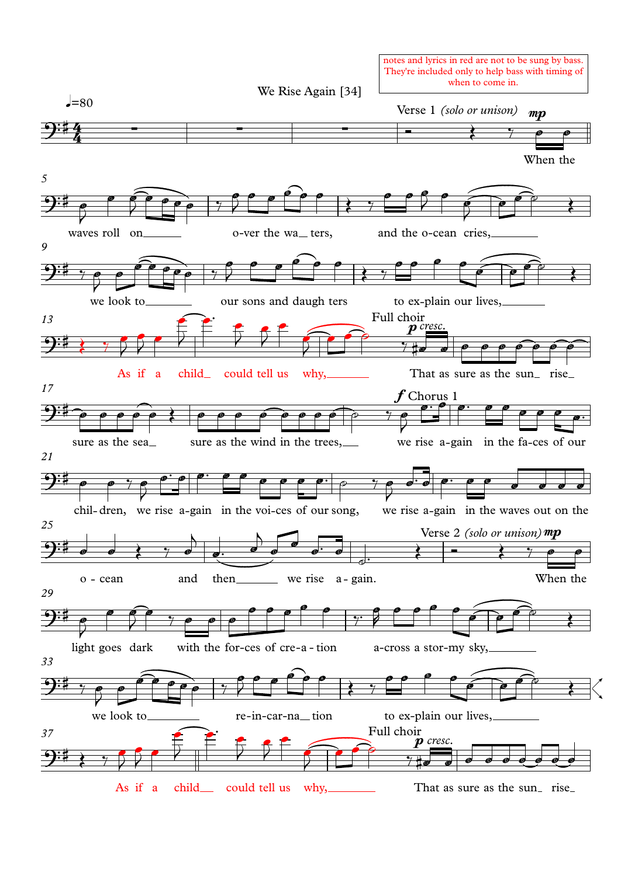